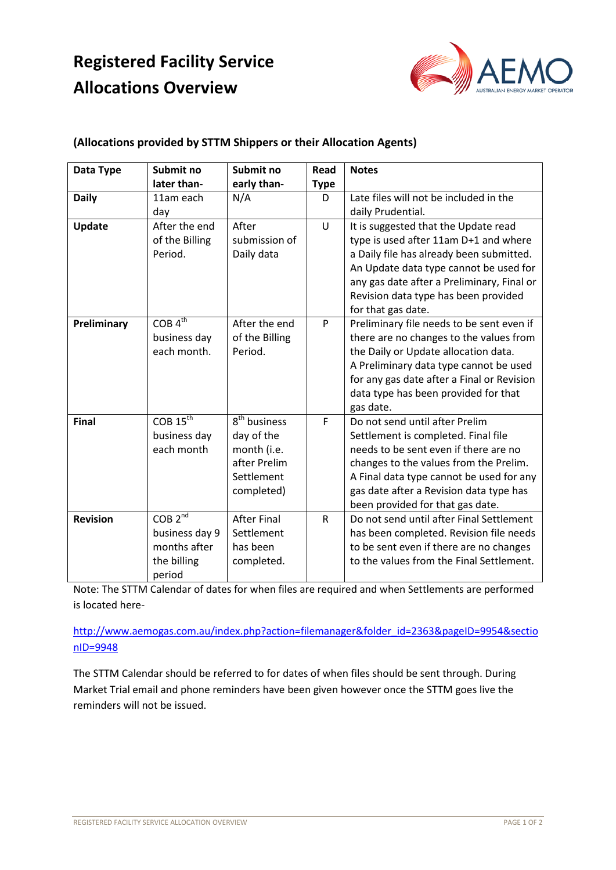# **Registered Facility Service Allocations Overview**



#### **(Allocations provided by STTM Shippers or their Allocation Agents)**

| Data Type       | Submit no              | Submit no                | Read        | <b>Notes</b>                               |
|-----------------|------------------------|--------------------------|-------------|--------------------------------------------|
|                 | later than-            | early than-              | <b>Type</b> |                                            |
| <b>Daily</b>    | 11am each              | N/A                      | D           | Late files will not be included in the     |
|                 | day                    |                          |             | daily Prudential.                          |
| <b>Update</b>   | After the end          | After                    | U           | It is suggested that the Update read       |
|                 | of the Billing         | submission of            |             | type is used after 11am D+1 and where      |
|                 | Period.                | Daily data               |             | a Daily file has already been submitted.   |
|                 |                        |                          |             | An Update data type cannot be used for     |
|                 |                        |                          |             | any gas date after a Preliminary, Final or |
|                 |                        |                          |             | Revision data type has been provided       |
|                 |                        |                          |             | for that gas date.                         |
| Preliminary     | $COB\overline{4^{th}}$ | After the end            | P           | Preliminary file needs to be sent even if  |
|                 | business day           | of the Billing           |             | there are no changes to the values from    |
|                 | each month.            | Period.                  |             | the Daily or Update allocation data.       |
|                 |                        |                          |             | A Preliminary data type cannot be used     |
|                 |                        |                          |             | for any gas date after a Final or Revision |
|                 |                        |                          |             | data type has been provided for that       |
|                 |                        |                          |             | gas date.                                  |
| <b>Final</b>    | $COB$ $15th$           | 8 <sup>th</sup> business | F           | Do not send until after Prelim             |
|                 | business day           | day of the               |             | Settlement is completed. Final file        |
|                 | each month             | month (i.e.              |             | needs to be sent even if there are no      |
|                 |                        | after Prelim             |             | changes to the values from the Prelim.     |
|                 |                        | Settlement               |             | A Final data type cannot be used for any   |
|                 |                        | completed)               |             | gas date after a Revision data type has    |
|                 |                        |                          |             | been provided for that gas date.           |
| <b>Revision</b> | COB <sub>2nd</sub>     | <b>After Final</b>       | R           | Do not send until after Final Settlement   |
|                 | business day 9         | Settlement               |             | has been completed. Revision file needs    |
|                 | months after           | has been                 |             | to be sent even if there are no changes    |
|                 | the billing            | completed.               |             | to the values from the Final Settlement.   |
|                 | period                 |                          |             |                                            |

Note: The STTM Calendar of dates for when files are required and when Settlements are performed is located here-

[http://www.aemogas.com.au/index.php?action=filemanager&folder\\_id=2363&pageID=9954&sectio](http://www.aemogas.com.au/index.php?action=filemanager&folder_id=2363&pageID=9954§ionID=9948) [nID=9948](http://www.aemogas.com.au/index.php?action=filemanager&folder_id=2363&pageID=9954§ionID=9948)

The STTM Calendar should be referred to for dates of when files should be sent through. During Market Trial email and phone reminders have been given however once the STTM goes live the reminders will not be issued.